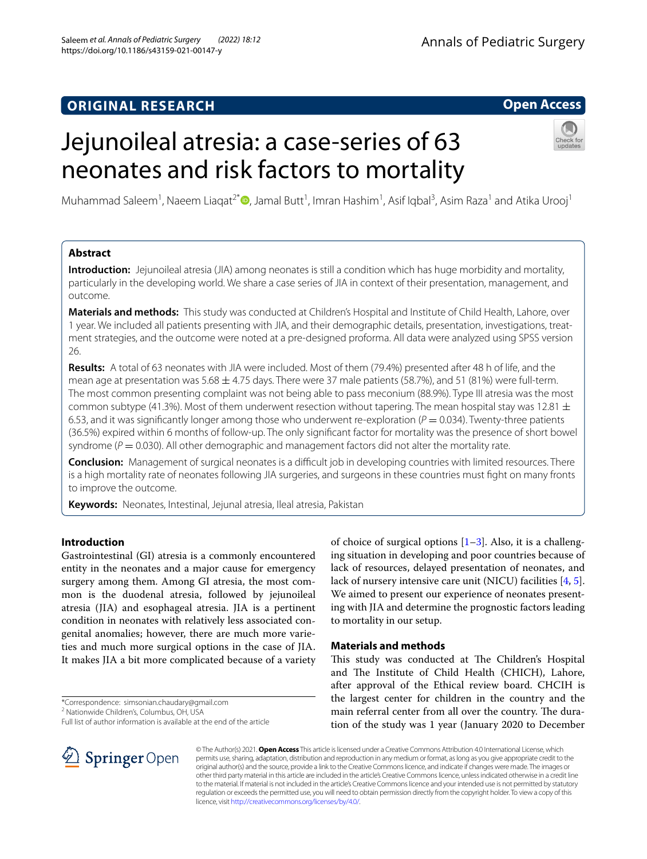# **ORIGINAL RESEARCH**

# **Open Access**

# Jejunoileal atresia: a case-series of 63 neonates and risk factors to mortality



Muhammad Saleem<sup>1</sup>, Naeem Liaqat<sup>2[\\*](http://orcid.org/0000-0003-1423-0440)</sup>®, Jamal Butt<sup>1</sup>, Imran Hashim<sup>1</sup>, Asif Iqbal<sup>3</sup>, Asim Raza<sup>1</sup> and Atika Urooj<sup>1</sup>

# **Abstract**

**Introduction:** Jejunoileal atresia (JIA) among neonates is still a condition which has huge morbidity and mortality, particularly in the developing world. We share a case series of JIA in context of their presentation, management, and outcome.

**Materials and methods:** This study was conducted at Children's Hospital and Institute of Child Health, Lahore, over 1 year. We included all patients presenting with JIA, and their demographic details, presentation, investigations, treatment strategies, and the outcome were noted at a pre-designed proforma. All data were analyzed using SPSS version 26.

**Results:** A total of 63 neonates with JIA were included. Most of them (79.4%) presented after 48 h of life, and the mean age at presentation was  $5.68 \pm 4.75$  days. There were 37 male patients (58.7%), and 51 (81%) were full-term. The most common presenting complaint was not being able to pass meconium (88.9%). Type III atresia was the most common subtype (41.3%). Most of them underwent resection without tapering. The mean hospital stay was 12.81  $\pm$ 6.53, and it was significantly longer among those who underwent re-exploration  $(P = 0.034)$ . Twenty-three patients (36.5%) expired within 6 months of follow-up. The only signifcant factor for mortality was the presence of short bowel syndrome ( $P = 0.030$ ). All other demographic and management factors did not alter the mortality rate.

**Conclusion:** Management of surgical neonates is a difficult job in developing countries with limited resources. There is a high mortality rate of neonates following JIA surgeries, and surgeons in these countries must fght on many fronts to improve the outcome.

**Keywords:** Neonates, Intestinal, Jejunal atresia, Ileal atresia, Pakistan

# **Introduction**

Gastrointestinal (GI) atresia is a commonly encountered entity in the neonates and a major cause for emergency surgery among them. Among GI atresia, the most common is the duodenal atresia, followed by jejunoileal atresia (JIA) and esophageal atresia. JIA is a pertinent condition in neonates with relatively less associated congenital anomalies; however, there are much more varieties and much more surgical options in the case of JIA. It makes JIA a bit more complicated because of a variety

\*Correspondence: simsonian.chaudary@gmail.com

<sup>2</sup> Nationwide Children's, Columbus, OH, USA

Full list of author information is available at the end of the article



of choice of surgical options  $[1-3]$  $[1-3]$  $[1-3]$ . Also, it is a challenging situation in developing and poor countries because of lack of resources, delayed presentation of neonates, and lack of nursery intensive care unit (NICU) facilities [[4,](#page-3-2) [5](#page-4-0)]. We aimed to present our experience of neonates presenting with JIA and determine the prognostic factors leading to mortality in our setup.

# **Materials and methods**

This study was conducted at The Children's Hospital and The Institute of Child Health (CHICH), Lahore, after approval of the Ethical review board. CHCIH is the largest center for children in the country and the main referral center from all over the country. The duration of the study was 1 year (January 2020 to December

© The Author(s) 2021. **Open Access** This article is licensed under a Creative Commons Attribution 4.0 International License, which permits use, sharing, adaptation, distribution and reproduction in any medium or format, as long as you give appropriate credit to the original author(s) and the source, provide a link to the Creative Commons licence, and indicate if changes were made. The images or other third party material in this article are included in the article's Creative Commons licence, unless indicated otherwise in a credit line to the material. If material is not included in the article's Creative Commons licence and your intended use is not permitted by statutory regulation or exceeds the permitted use, you will need to obtain permission directly from the copyright holder. To view a copy of this licence, visit [http://creativecommons.org/licenses/by/4.0/.](http://creativecommons.org/licenses/by/4.0/)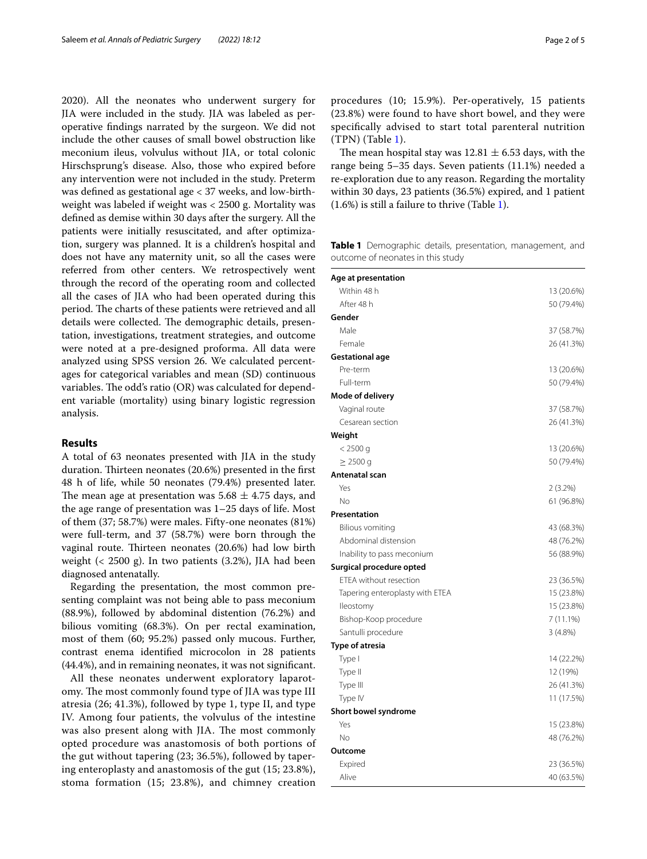2020). All the neonates who underwent surgery for JIA were included in the study. JIA was labeled as peroperative fndings narrated by the surgeon. We did not include the other causes of small bowel obstruction like meconium ileus, volvulus without JIA, or total colonic Hirschsprung's disease. Also, those who expired before any intervention were not included in the study. Preterm was defned as gestational age < 37 weeks, and low-birthweight was labeled if weight was < 2500 g. Mortality was defned as demise within 30 days after the surgery. All the patients were initially resuscitated, and after optimization, surgery was planned. It is a children's hospital and does not have any maternity unit, so all the cases were referred from other centers. We retrospectively went through the record of the operating room and collected all the cases of JIA who had been operated during this period. The charts of these patients were retrieved and all details were collected. The demographic details, presentation, investigations, treatment strategies, and outcome were noted at a pre-designed proforma. All data were analyzed using SPSS version 26. We calculated percentages for categorical variables and mean (SD) continuous variables. The odd's ratio  $(OR)$  was calculated for dependent variable (mortality) using binary logistic regression analysis.

# **Results**

A total of 63 neonates presented with JIA in the study duration. Thirteen neonates (20.6%) presented in the first 48 h of life, while 50 neonates (79.4%) presented later. The mean age at presentation was  $5.68 \pm 4.75$  days, and the age range of presentation was 1–25 days of life. Most of them (37; 58.7%) were males. Fifty-one neonates (81%) were full-term, and 37 (58.7%) were born through the vaginal route. Thirteen neonates (20.6%) had low birth weight (< 2500 g). In two patients (3.2%), JIA had been diagnosed antenatally.

Regarding the presentation, the most common presenting complaint was not being able to pass meconium (88.9%), followed by abdominal distention (76.2%) and bilious vomiting (68.3%). On per rectal examination, most of them (60; 95.2%) passed only mucous. Further, contrast enema identifed microcolon in 28 patients (44.4%), and in remaining neonates, it was not signifcant.

All these neonates underwent exploratory laparotomy. The most commonly found type of JIA was type III atresia (26; 41.3%), followed by type 1, type II, and type IV. Among four patients, the volvulus of the intestine was also present along with JIA. The most commonly opted procedure was anastomosis of both portions of the gut without tapering (23; 36.5%), followed by tapering enteroplasty and anastomosis of the gut (15; 23.8%), stoma formation (15; 23.8%), and chimney creation procedures (10; 15.9%). Per-operatively, 15 patients (23.8%) were found to have short bowel, and they were specifcally advised to start total parenteral nutrition (TPN) (Table [1](#page-1-0)).

The mean hospital stay was  $12.81 \pm 6.53$  days, with the range being 5–35 days. Seven patients (11.1%) needed a re-exploration due to any reason. Regarding the mortality within 30 days, 23 patients (36.5%) expired, and 1 patient (1.6%) is still a failure to thrive (Table [1](#page-1-0)).

<span id="page-1-0"></span>**Table 1** Demographic details, presentation, management, and outcome of neonates in this study

| Age at presentation             |            |
|---------------------------------|------------|
| Within 48 h                     | 13 (20.6%) |
| After 48 h                      | 50 (79.4%) |
| Gender                          |            |
| Male                            | 37 (58.7%) |
| Female                          | 26 (41.3%) |
| Gestational age                 |            |
| Pre-term                        | 13 (20.6%) |
| Full-term                       | 50 (79.4%) |
| Mode of delivery                |            |
| Vaginal route                   | 37 (58.7%) |
| Cesarean section                | 26 (41.3%) |
| Weight                          |            |
| $< 2500$ q                      | 13 (20.6%) |
| $\geq$ 2500 g                   | 50 (79.4%) |
| Antenatal scan                  |            |
| Yes                             | $2(3.2\%)$ |
| No                              | 61 (96.8%) |
| Presentation                    |            |
| Bilious vomiting                | 43 (68.3%) |
| Abdominal distension            | 48 (76.2%) |
| Inability to pass meconium      | 56 (88.9%) |
| Surgical procedure opted        |            |
| ETEA without resection          | 23 (36.5%) |
| Tapering enteroplasty with ETEA | 15 (23.8%) |
| lleostomy                       | 15 (23.8%) |
| Bishop-Koop procedure           | 7(11.1%)   |
| Santulli procedure              | 3(4.8%)    |
| <b>Type of atresia</b>          |            |
| Type I                          | 14 (22.2%) |
| Type II                         | 12 (19%)   |
| Type III                        | 26 (41.3%) |
| Type IV                         | 11 (17.5%) |
| <b>Short bowel syndrome</b>     |            |
| Yes                             | 15 (23.8%) |
| No                              | 48 (76.2%) |
| Outcome                         |            |
| Expired                         | 23 (36.5%) |
| Alive                           | 40 (63.5%) |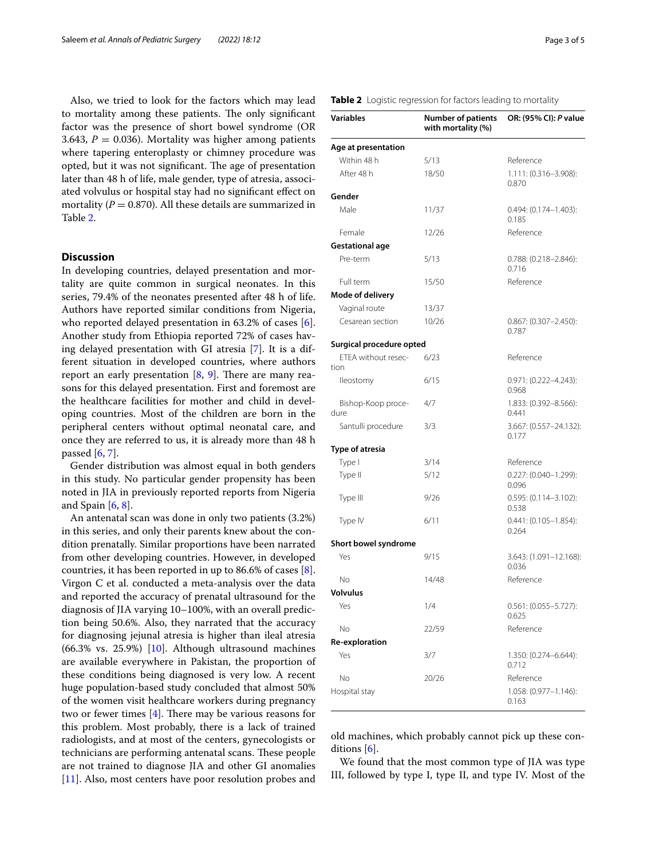Also, we tried to look for the factors which may lead to mortality among these patients. The only significant factor was the presence of short bowel syndrome (OR 3.643,  $P = 0.036$ ). Mortality was higher among patients where tapering enteroplasty or chimney procedure was opted, but it was not significant. The age of presentation later than 48 h of life, male gender, type of atresia, associated volvulus or hospital stay had no signifcant efect on mortality ( $P = 0.870$ ). All these details are summarized in Table [2](#page-2-0).

# **Discussion**

In developing countries, delayed presentation and mortality are quite common in surgical neonates. In this series, 79.4% of the neonates presented after 48 h of life. Authors have reported similar conditions from Nigeria, who reported delayed presentation in 63.2% of cases [\[6](#page-4-1)]. Another study from Ethiopia reported 72% of cases having delayed presentation with GI atresia [\[7](#page-4-2)]. It is a different situation in developed countries, where authors report an early presentation  $[8, 9]$  $[8, 9]$  $[8, 9]$  $[8, 9]$  $[8, 9]$ . There are many reasons for this delayed presentation. First and foremost are the healthcare facilities for mother and child in developing countries. Most of the children are born in the peripheral centers without optimal neonatal care, and once they are referred to us, it is already more than 48 h passed  $[6, 7]$  $[6, 7]$  $[6, 7]$  $[6, 7]$ .

Gender distribution was almost equal in both genders in this study. No particular gender propensity has been noted in JIA in previously reported reports from Nigeria and Spain  $[6, 8]$  $[6, 8]$  $[6, 8]$  $[6, 8]$ .

An antenatal scan was done in only two patients (3.2%) in this series, and only their parents knew about the condition prenatally. Similar proportions have been narrated from other developing countries. However, in developed countries, it has been reported in up to 86.6% of cases [\[8](#page-4-3)]. Virgon C et al. conducted a meta-analysis over the data and reported the accuracy of prenatal ultrasound for the diagnosis of JIA varying 10–100%, with an overall prediction being 50.6%. Also, they narrated that the accuracy for diagnosing jejunal atresia is higher than ileal atresia  $(66.3\% \text{ vs. } 25.9\%)$  [[10\]](#page-4-5). Although ultrasound machines are available everywhere in Pakistan, the proportion of these conditions being diagnosed is very low. A recent huge population-based study concluded that almost 50% of the women visit healthcare workers during pregnancy two or fewer times  $[4]$  $[4]$ . There may be various reasons for this problem. Most probably, there is a lack of trained radiologists, and at most of the centers, gynecologists or technicians are performing antenatal scans. These people are not trained to diagnose JIA and other GI anomalies [[11\]](#page-4-6). Also, most centers have poor resolution probes and

## <span id="page-2-0"></span>**Table 2** Logistic regression for factors leading to mortality

| <b>Variables</b>            | <b>Number of patients</b><br>with mortality (%) | OR: (95% CI): P value                  |
|-----------------------------|-------------------------------------------------|----------------------------------------|
| Age at presentation         |                                                 |                                        |
| Within 48 h                 | 5/13                                            | Reference                              |
| After 48 h                  | 18/50                                           | 1.111: (0.316-3.908):<br>0.870         |
| Gender                      |                                                 |                                        |
| Male                        | 11/37                                           | $0.494$ : $(0.174 - 1.403)$ :<br>0.185 |
| Female                      | 12/26                                           | Reference                              |
| <b>Gestational age</b>      |                                                 |                                        |
| Pre-term                    | 5/13                                            | $0.788$ : $(0.218 - 2.846)$ :<br>0.716 |
| Full term                   | 15/50                                           | Reference                              |
| <b>Mode of delivery</b>     |                                                 |                                        |
| Vaginal route               | 13/37                                           |                                        |
| Cesarean section            | 10/26                                           | $0.867: (0.307 - 2.450):$<br>0.787     |
| Surgical procedure opted    |                                                 |                                        |
| FTFA without resec-<br>tion | 6/23                                            | Reference                              |
| lleostomy                   | 6/15                                            | $0.971: (0.222 - 4.243):$<br>0.968     |
| Bishop-Koop proce-<br>dure  | 4/7                                             | $1.833$ : (0.392-8.566):<br>0.441      |
| Santulli procedure          | 3/3                                             | 3.667: (0.557-24.132):<br>0.177        |
| Type of atresia             |                                                 |                                        |
| Type I                      | 3/14                                            | Reference                              |
| Type II                     | 5/12                                            | 0.227: (0.040-1.299):<br>0.096         |
| Type III                    | 9/26                                            | $0.595: (0.114 - 3.102):$<br>0.538     |
| Type IV                     | 6/11                                            | $0.441: (0.105 - 1.854):$<br>0.264     |
| Short bowel syndrome        |                                                 |                                        |
| Yes                         | 9/15                                            | 3.643: (1.091-12.168):<br>0.036        |
| No                          | 14/48                                           | Reference                              |
| Volvulus                    |                                                 |                                        |
| Yes                         | 1/4                                             | $0.561: (0.055 - 5.727):$<br>0.625     |
| No                          | 22/59                                           | Reference                              |
| Re-exploration              |                                                 |                                        |
| Yes                         | 3/7                                             | 1.350: (0.274-6.644):<br>0.712         |
| No                          | 20/26                                           | Reference                              |
| Hospital stay               |                                                 | 1.058: (0.977-1.146):<br>0.163         |

old machines, which probably cannot pick up these conditions  $[6]$  $[6]$ .

We found that the most common type of JIA was type III, followed by type I, type II, and type IV. Most of the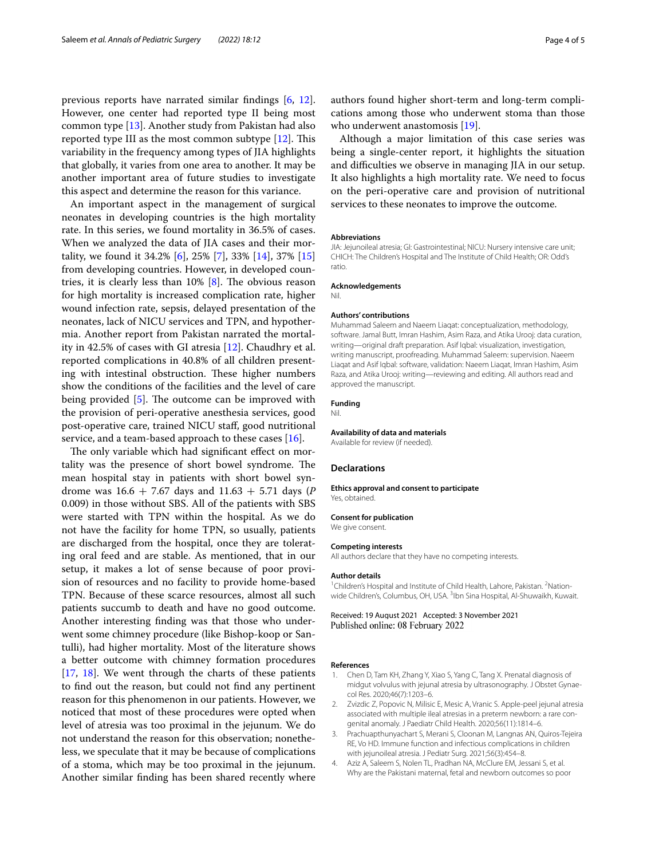previous reports have narrated similar fndings [\[6,](#page-4-1) [12](#page-4-7)]. However, one center had reported type II being most common type [[13\]](#page-4-8). Another study from Pakistan had also reported type III as the most common subtype  $[12]$  $[12]$ . This variability in the frequency among types of JIA highlights that globally, it varies from one area to another. It may be another important area of future studies to investigate this aspect and determine the reason for this variance.

An important aspect in the management of surgical neonates in developing countries is the high mortality rate. In this series, we found mortality in 36.5% of cases. When we analyzed the data of JIA cases and their mortality, we found it 34.2% [\[6](#page-4-1)], 25% [[7\]](#page-4-2), 33% [\[14\]](#page-4-9), 37% [[15](#page-4-10)] from developing countries. However, in developed countries, it is clearly less than  $10\%$  [[8\]](#page-4-3). The obvious reason for high mortality is increased complication rate, higher wound infection rate, sepsis, delayed presentation of the neonates, lack of NICU services and TPN, and hypothermia. Another report from Pakistan narrated the mortality in 42.5% of cases with GI atresia [[12\]](#page-4-7). Chaudhry et al. reported complications in 40.8% of all children presenting with intestinal obstruction. These higher numbers show the conditions of the facilities and the level of care being provided  $[5]$ . The outcome can be improved with the provision of peri-operative anesthesia services, good post-operative care, trained NICU staf, good nutritional service, and a team-based approach to these cases [\[16](#page-4-11)].

The only variable which had significant effect on mortality was the presence of short bowel syndrome. The mean hospital stay in patients with short bowel syndrome was 16.6 + 7.67 days and 11.63 + 5.71 days (*P* 0.009) in those without SBS. All of the patients with SBS were started with TPN within the hospital. As we do not have the facility for home TPN, so usually, patients are discharged from the hospital, once they are tolerating oral feed and are stable. As mentioned, that in our setup, it makes a lot of sense because of poor provision of resources and no facility to provide home-based TPN. Because of these scarce resources, almost all such patients succumb to death and have no good outcome. Another interesting fnding was that those who underwent some chimney procedure (like Bishop-koop or Santulli), had higher mortality. Most of the literature shows a better outcome with chimney formation procedures [[17,](#page-4-12) [18\]](#page-4-13). We went through the charts of these patients to fnd out the reason, but could not fnd any pertinent reason for this phenomenon in our patients. However, we noticed that most of these procedures were opted when level of atresia was too proximal in the jejunum. We do not understand the reason for this observation; nonetheless, we speculate that it may be because of complications of a stoma, which may be too proximal in the jejunum. Another similar fnding has been shared recently where authors found higher short-term and long-term complications among those who underwent stoma than those who underwent anastomosis [\[19](#page-4-14)].

Although a major limitation of this case series was being a single-center report, it highlights the situation and difficulties we observe in managing JIA in our setup. It also highlights a high mortality rate. We need to focus on the peri-operative care and provision of nutritional services to these neonates to improve the outcome.

### **Abbreviations**

JIA: Jejunoileal atresia; GI: Gastrointestinal; NICU: Nursery intensive care unit; CHICH: The Children's Hospital and The Institute of Child Health; OR: Odd's ratio.

#### **Acknowledgements**

Nil.

#### **Authors' contributions**

Muhammad Saleem and Naeem Liaqat: conceptualization, methodology, software. Jamal Butt, Imran Hashim, Asim Raza, and Atika Urooj: data curation, writing—original draft preparation. Asif Iqbal: visualization, investigation, writing manuscript, proofreading. Muhammad Saleem: supervision. Naeem Liaqat and Asif Iqbal: software, validation: Naeem Liaqat, Imran Hashim, Asim Raza, and Atika Urooj: writing—reviewing and editing. All authors read and approved the manuscript.

## **Funding**

Nil.

## **Availability of data and materials**

Available for review (if needed).

## **Declarations**

#### **Ethics approval and consent to participate** Yes, obtained.

#### **Consent for publication**

We give consent.

## **Competing interests**

All authors declare that they have no competing interests.

#### **Author details**

<sup>1</sup> Children's Hospital and Institute of Child Health, Lahore, Pakistan. <sup>2</sup> Nationwide Children's, Columbus, OH, USA. <sup>3</sup>Ibn Sina Hospital, Al-Shuwaikh, Kuwait.

Received: 19 August 2021 Accepted: 3 November 2021 Published online: 08 February 2022

#### **References**

- <span id="page-3-0"></span>1. Chen D, Tam KH, Zhang Y, Xiao S, Yang C, Tang X. Prenatal diagnosis of midgut volvulus with jejunal atresia by ultrasonography. J Obstet Gynaecol Res. 2020;46(7):1203–6.
- Zvizdic Z, Popovic N, Milisic E, Mesic A, Vranic S. Apple-peel jejunal atresia associated with multiple ileal atresias in a preterm newborn: a rare congenital anomaly. J Paediatr Child Health. 2020;56(11):1814–6.
- <span id="page-3-1"></span>3. Prachuapthunyachart S, Merani S, Cloonan M, Langnas AN, Quiros-Tejeira RE, Vo HD. Immune function and infectious complications in children with jejunoileal atresia. J Pediatr Surg. 2021;56(3):454–8.
- <span id="page-3-2"></span>4. Aziz A, Saleem S, Nolen TL, Pradhan NA, McClure EM, Jessani S, et al. Why are the Pakistani maternal, fetal and newborn outcomes so poor